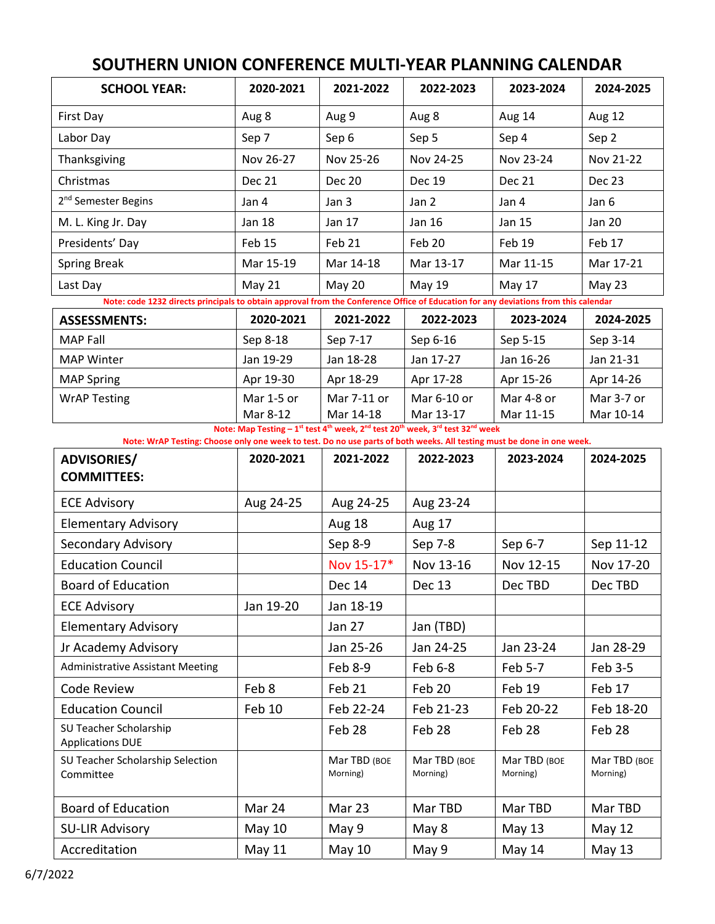| <b>SCHOOL YEAR:</b>                                                                                                                 | 2020-2021     | 2021-2022     | 2022-2023                                                                                                                                              | 2023-2024     | 2024-2025     |  |  |
|-------------------------------------------------------------------------------------------------------------------------------------|---------------|---------------|--------------------------------------------------------------------------------------------------------------------------------------------------------|---------------|---------------|--|--|
| First Day                                                                                                                           | Aug 8         | Aug 9         | Aug 8                                                                                                                                                  | Aug 14        | Aug 12        |  |  |
| Labor Day                                                                                                                           | Sep 7         | Sep 6         | Sep 5                                                                                                                                                  | Sep 4         | Sep 2         |  |  |
| Thanksgiving                                                                                                                        | Nov 26-27     | Nov 25-26     | Nov 24-25                                                                                                                                              | Nov 23-24     | Nov 21-22     |  |  |
| Christmas                                                                                                                           | <b>Dec 21</b> | <b>Dec 20</b> | <b>Dec 19</b>                                                                                                                                          | <b>Dec 21</b> | <b>Dec 23</b> |  |  |
| 2 <sup>nd</sup> Semester Begins                                                                                                     | Jan 4         | Jan 3         | Jan 2                                                                                                                                                  | Jan 4         | Jan 6         |  |  |
| M. L. King Jr. Day                                                                                                                  | <b>Jan 18</b> | Jan 17        | Jan 16                                                                                                                                                 | Jan 15        | <b>Jan 20</b> |  |  |
| Presidents' Day                                                                                                                     | Feb 15        | Feb 21        | Feb 20                                                                                                                                                 | Feb 19        | Feb 17        |  |  |
| <b>Spring Break</b>                                                                                                                 | Mar 15-19     | Mar 14-18     | Mar 13-17                                                                                                                                              | Mar 11-15     | Mar 17-21     |  |  |
| Last Day                                                                                                                            | May 21        | <b>May 20</b> | May 19                                                                                                                                                 | May 17        | May 23        |  |  |
| Note: code 1232 directs principals to obtain approval from the Conference Office of Education for any deviations from this calendar |               |               |                                                                                                                                                        |               |               |  |  |
| <b>ASSESSMENTS:</b>                                                                                                                 | 2020-2021     | 2021-2022     | 2022-2023                                                                                                                                              | 2023-2024     | 2024-2025     |  |  |
| <b>MAP Fall</b>                                                                                                                     | Sep 8-18      | Sep 7-17      | Sep 6-16                                                                                                                                               | Sep 5-15      | Sep 3-14      |  |  |
| <b>MAP Winter</b>                                                                                                                   | Jan 19-29     | Jan 18-28     | Jan 17-27                                                                                                                                              | Jan 16-26     | Jan 21-31     |  |  |
| <b>MAP Spring</b>                                                                                                                   | Apr 19-30     | Apr 18-29     | Apr 17-28                                                                                                                                              | Apr 15-26     | Apr 14-26     |  |  |
| <b>WrAP Testing</b>                                                                                                                 | Mar 1-5 or    | Mar 7-11 or   | Mar 6-10 or                                                                                                                                            | Mar 4-8 or    | Mar 3-7 or    |  |  |
|                                                                                                                                     | Mar 8-12      | Mar 14-18     | Mar 13-17<br>Note: Map Testing - 1st test 4 <sup>th</sup> week, 2 <sup>nd</sup> test 20 <sup>th</sup> week, 3 <sup>rd</sup> test 32 <sup>nd</sup> week | Mar 11-15     | Mar 10-14     |  |  |
| Note: WrAP Testing: Choose only one week to test. Do no use parts of both weeks. All testing must be done in one week.              |               |               |                                                                                                                                                        |               |               |  |  |
| <b>ADVISORIES/</b>                                                                                                                  | 2020-2021     | 2021-2022     | 2022-2023                                                                                                                                              | 2023-2024     | 2024-2025     |  |  |
| <b>COMMITTEES:</b>                                                                                                                  |               |               |                                                                                                                                                        |               |               |  |  |
| <b>ECE Advisory</b>                                                                                                                 | Aug 24-25     | Aug 24-25     | Aug 23-24                                                                                                                                              |               |               |  |  |
| <b>Elementary Advisory</b>                                                                                                          |               | <b>Aug 18</b> | Aug 17                                                                                                                                                 |               |               |  |  |
| Secondary Advisory                                                                                                                  |               | Sep 8-9       | Sep 7-8                                                                                                                                                | Sep 6-7       | Sep 11-12     |  |  |
| <b>Education Council</b>                                                                                                            |               | Nov 15-17*    | Nov 13-16                                                                                                                                              | Nov 12-15     | Nov 17-20     |  |  |
| <b>Board of Education</b>                                                                                                           |               | Dec 14        | <b>Dec 13</b>                                                                                                                                          | Dec TBD       | Dec TBD       |  |  |
| <b>ECE Advisory</b>                                                                                                                 | Jan 19-20     | Jan 18-19     |                                                                                                                                                        |               |               |  |  |
| <b>Elementary Advisory</b>                                                                                                          |               | Jan 27        | Jan (TBD)                                                                                                                                              |               |               |  |  |
| Jr Academy Advisory                                                                                                                 |               | Jan 25-26     | Jan 24-25                                                                                                                                              | Jan 23-24     | Jan 28-29     |  |  |
| <b>Administrative Assistant Meeting</b>                                                                                             |               | Feb 8-9       | Feb 6-8                                                                                                                                                | Feb 5-7       | Feb 3-5       |  |  |
| Code Review                                                                                                                         | Feb 8         | Feb 21        | Feb 20                                                                                                                                                 | Feb 19        | Feb 17        |  |  |
| <b>Education Council</b>                                                                                                            | Feb 10        | Feb 22-24     | Feb 21-23                                                                                                                                              | Feb 20-22     | Feb 18-20     |  |  |
| SU Teacher Scholarship<br><b>Applications DUE</b>                                                                                   |               | Feb 28        | Feb 28                                                                                                                                                 | Feb 28        | Feb 28        |  |  |

Mar TBD (BOE Morning)

Board of Education | Mar 24 | Mar 23 | Mar TBD | Mar TBD | Mar TBD SU-LIR Advisory | May 10 | May 9 | May 8 | May 13 | May 12 Accreditation | May 11 | May 10 | May 9 | May 14 | May 13

Mar TBD (BOE Morning)

Mar TBD (BOE Morning)

Mar TBD (BOE Morning)

## **SOUTHERN UNION CONFERENCE MULTI‐YEAR PLANNING CALENDAR**

SU Teacher Scholarship Selection

Committee